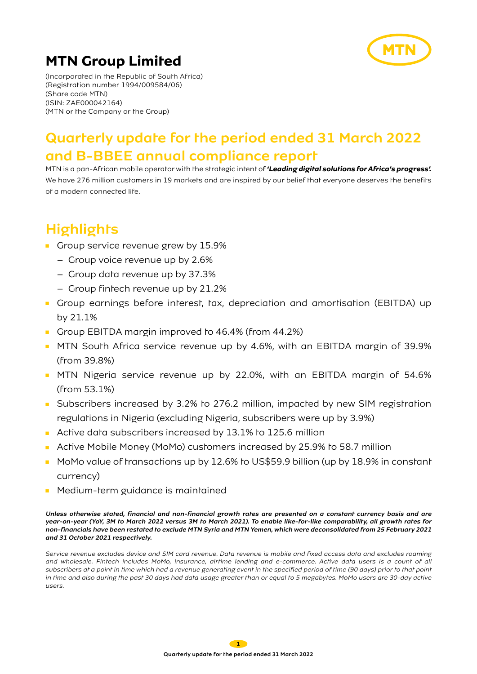

(Incorporated in the Republic of South Africa) (Registration number 1994/009584/06) (Share code MTN) (ISIN: ZAE000042164) (MTN or the Company or the Group)

## Quarterly update for the period ended 31 March 2022 and B-BBEE annual compliance report

MTN is a pan-African mobile operator with the strategic intent of *'Leading digital solutions for Africa's progress'.* We have 276 million customers in 19 markets and are inspired by our belief that everyone deserves the benefits of a modern connected life.

# **Highlights**

- Group service revenue grew by 15.9%
	- Group voice revenue up by 2.6%
	- Group data revenue up by 37.3%
	- Group fintech revenue up by 21.2%
- Group earnings before interest, tax, depreciation and amortisation (EBITDA) up by 21.1%
- Group EBITDA margin improved to 46.4% (from 44.2%)
- MTN South Africa service revenue up by 4.6%, with an EBITDA margin of 39.9% (from 39.8%)
- MTN Nigeria service revenue up by 22.0%, with an EBITDA margin of 54.6% (from 53.1%)
- Subscribers increased by 3.2% to 276.2 million, impacted by new SIM registration regulations in Nigeria (excluding Nigeria, subscribers were up by 3.9%)
- Active data subscribers increased by 13.1% to 125.6 million
- Active Mobile Money (MoMo) customers increased by 25.9% to 58.7 million
- MoMo value of transactions up by 12.6% to US\$59.9 billion (up by 18.9% in constant currency)
- Medium-term guidance is maintained

Unless otherwise stated, financial and non-financial growth rates are presented on a constant currency basis and are year-on-year (YoY, 3M to March 2022 versus 3M to March 2021). To enable like-for-like comparability, all growth rates for non-financials have been restated to exclude MTN Syria and MTN Yemen, which were deconsolidated from 25 February 2021 and 31 October 2021 respectively.

Service revenue excludes device and SIM card revenue. Data revenue is mobile and fixed access data and excludes roaming and wholesale. Fintech includes MoMo, insurance, airtime lending and e-commerce. Active data users is a count of all subscribers at a point in time which had a revenue generating event in the specified period of time (90 days) prior to that point in time and also during the past 30 days had data usage greater than or equal to 5 megabytes. MoMo users are 30-day active users.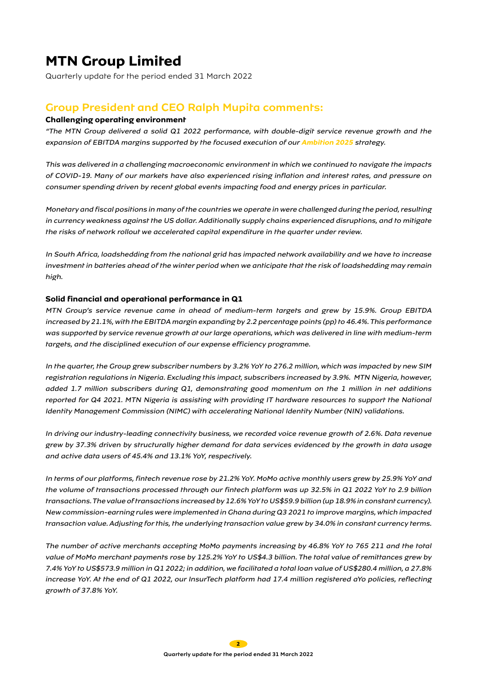Quarterly update for the period ended 31 March 2022

### Group President and CEO Ralph Mupita comments:

### **Challenging operating environment**

"The MTN Group delivered a solid Q1 2022 performance, with double-digit service revenue growth and the expansion of EBITDA margins supported by the focused execution of our **Ambition 2025** strategy.

This was delivered in a challenging macroeconomic environment in which we continued to navigate the impacts of COVID-19. Many of our markets have also experienced rising inflation and interest rates, and pressure on consumer spending driven by recent global events impacting food and energy prices in particular.

Monetary and fiscal positions in many of the countries we operate in were challenged during the period, resulting in currency weakness against the US dollar. Additionally supply chains experienced disruptions, and to mitigate the risks of network rollout we accelerated capital expenditure in the quarter under review.

In South Africa, loadshedding from the national grid has impacted network availability and we have to increase investment in batteries ahead of the winter period when we anticipate that the risk of loadshedding may remain high.

#### **Solid financial and operational performance in Q1**

MTN Group's service revenue came in ahead of medium-term targets and grew by 15.9%. Group EBITDA increased by 21.1%, with the EBITDA margin expanding by 2.2 percentage points (pp) to 46.4%. This performance was supported by service revenue growth at our large operations, which was delivered in line with medium-term targets, and the disciplined execution of our expense efficiency programme.

In the quarter, the Group grew subscriber numbers by 3.2% YoY to 276.2 million, which was impacted by new SIM registration regulations in Nigeria. Excluding this impact, subscribers increased by 3.9%. MTN Nigeria, however, added 1.7 million subscribers during Q1, demonstrating good momentum on the 1 million in net additions reported for Q4 2021. MTN Nigeria is assisting with providing IT hardware resources to support the National Identity Management Commission (NIMC) with accelerating National Identity Number (NIN) validations.

In driving our industry-leading connectivity business, we recorded voice revenue growth of 2.6%. Data revenue grew by 37.3% driven by structurally higher demand for data services evidenced by the growth in data usage and active data users of 45.4% and 13.1% YoY, respectively.

In terms of our platforms, fintech revenue rose by 21.2% YoY. MoMo active monthly users grew by 25.9% YoY and the volume of transactions processed through our fintech platform was up 32.5% in Q1 2022 YoY to 2.9 billion transactions. The value of transactions increased by 12.6% YoY to US\$59.9 billion (up 18.9% in constant currency). New commission-earning rules were implemented in Ghana during Q3 2021 to improve margins, which impacted transaction value. Adjusting for this, the underlying transaction value grew by 34.0% in constant currency terms.

The number of active merchants accepting MoMo payments increasing by 46.8% YoY to 765 211 and the total value of MoMo merchant payments rose by 125.2% YoY to US\$4.3 billion. The total value of remittances grew by 7.4% YoY to US\$573.9 million in Q1 2022; in addition, we facilitated a total loan value of US\$280.4 million, a 27.8% increase YoY. At the end of Q1 2022, our InsurTech platform had 17.4 million registered aYo policies, reflecting growth of 37.8% YoY.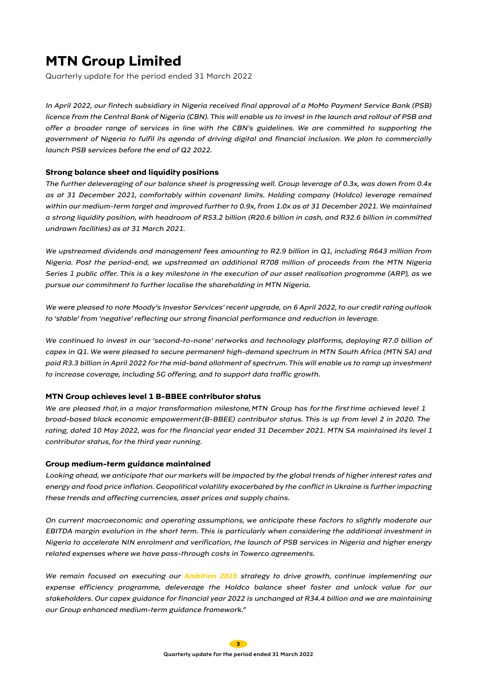Quarterly update for the period ended 31 March 2022

In April 2022, our fintech subsidiary in Nigeria received final approval of a MoMo Payment Service Bank (PSB) licence from the Central Bank of Nigeria (CBN). This will enable us to invest in the launch and rollout of PSB and offer a broader range of services in line with the CBN's guidelines. We are committed to supporting the government of Nigeria to fulfil its agenda of driving digital and financial inclusion. We plan to commercially launch PSB services before the end of Q2 2022.

### **Strong balance sheet and liquidity positions**

The further deleveraging of our balance sheet is progressing well. Group leverage of 0.3x, was down from 0.4x as at 31 December 2021, comfortably within covenant limits. Holding company (Holdco) leverage remained within our medium-term target and improved further to 0.9x, from 1.0x as at 31 December 2021. We maintained a strong liquidity position, with headroom of R53.2 billion (R20.6 billion in cash, and R32.6 billion in committed undrawn facilities) as at 31 March 2021.

We upstreamed dividends and management fees amounting to R2.9 billion in Q1, including R643 million from Nigeria. Post the period-end, we upstreamed an additional R708 million of proceeds from the MTN Nigeria Series 1 public offer. This is a key milestone in the execution of our asset realisation programme (ARP), as we pursue our commitment to further localise the shareholding in MTN Nigeria.

We were pleased to note Moody's Investor Services' recent upgrade, on 6 April 2022, to our credit rating outlook to 'stable' from 'negative' reflecting our strong financial performance and reduction in leverage.

We continued to invest in our 'second-to-none' networks and technology platforms, deploying R7.0 billion of capex in Q1. We were pleased to secure permanent high-demand spectrum in MTN South Africa (MTN SA) and paid R3.3 billion in April 2022 for the mid-band allotment of spectrum. This will enable us to ramp up investment to increase coverage, including 5G offering, and to support data traffic growth.

#### **MTN Group achieves level 1 B-BBEE contributor status**

We are pleased that in a major transformation milestone, MTN Group has for the first time achieved level 1 broad-based black economic empowerment(B-BBEE) contributor status. This is up from level 2 in 2020. The rating, dated 10 May 2022, was for the financial year ended 31 December 2021. MTN SA maintained its level 1 contributor status, *for the third year running.*

#### **Group medium-term guidance maintained**

Looking ahead, we anticipate that our markets will be impacted by the global trends of higher interest rates and energy and food price inflation. Geopolitical volatility exacerbated by the conflict in Ukraine is further impacting these trends and affecting currencies, asset prices and supply chains.

On current macroeconomic and operating assumptions, we anticipate these factors to slightly moderate our EBITDA margin evolution in the short term. This is particularly when considering the additional investment in Nigeria to accelerate NIN enrolment and verification, the launch of PSB services in Nigeria and higher energy related expenses where we have pass-through costs in Towerco agreements.

We remain focused on executing our **Ambition 2025** strategy to drive growth, continue implementing our expense efficiency programme, deleverage the Holdco balance sheet faster and unlock value for our stakeholders. Our capex guidance for financial year 2022 is unchanged at R34.4 billion and we are maintaining our Group enhanced medium-term guidance framework."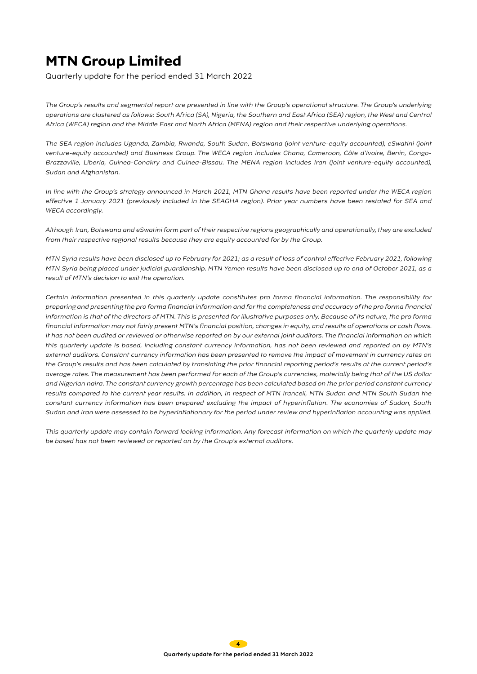Quarterly update for the period ended 31 March 2022

The Group's results and segmental report are presented in line with the Group's operational structure. The Group's underlying operations are clustered as follows: South Africa (SA), Nigeria, the Southern and East Africa (SEA) region, the West and Central Africa (WECA) region and the Middle East and North Africa (MENA) region and their respective underlying operations.

The SEA region includes Uganda, Zambia, Rwanda, South Sudan, Botswana (joint venture-equity accounted), eSwatini (joint venture-equity accounted) and Business Group. The WECA region includes Ghana, Cameroon, Côte d'Ivoire, Benin, Congo-Brazzaville, Liberia, Guinea-Conakry and Guinea-Bissau. The MENA region includes Iran (joint venture-equity accounted), Sudan and Afghanistan.

In line with the Group's strategy announced in March 2021, MTN Ghana results have been reported under the WECA region effective 1 January 2021 (previously included in the SEAGHA region). Prior year numbers have been restated for SEA and WECA accordingly.

Although Iran, Botswana and eSwatini form part of their respective regions geographically and operationally, they are excluded from their respective regional results because they are equity accounted for by the Group.

MTN Syria results have been disclosed up to February for 2021; as a result of loss of control effective February 2021, following MTN Syria being placed under judicial guardianship. MTN Yemen results have been disclosed up to end of October 2021, as a result of MTN's decision to exit the operation.

Certain information presented in this quarterly update constitutes pro forma financial information. The responsibility for preparing and presenting the pro forma financial information and for the completeness and accuracy of the pro forma financial information is that of the directors of MTN. This is presented for illustrative purposes only. Because of its nature, the pro forma financial information may not fairly present MTN's financial position, changes in equity, and results of operations or cash flows. It has not been audited or reviewed or otherwise reported on by our external joint auditors. The financial information on which this quarterly update is based, including constant currency information, has not been reviewed and reported on by MTN's external auditors. Constant currency information has been presented to remove the impact of movement in currency rates on the Group's results and has been calculated by translating the prior financial reporting period's results at the current period's average rates. The measurement has been performed for each of the Group's currencies, materially being that of the US dollar and Nigerian naira. The constant currency growth percentage has been calculated based on the prior period constant currency results compared to the current year results. In addition, in respect of MTN Irancell, MTN Sudan and MTN South Sudan the constant currency information has been prepared excluding the impact of hyperinflation. The economies of Sudan, South Sudan and Iran were assessed to be hyperinflationary for the period under review and hyperinflation accounting was applied.

This quarterly update may contain forward looking information. Any forecast information on which the quarterly update may be based has not been reviewed or reported on by the Group's external auditors.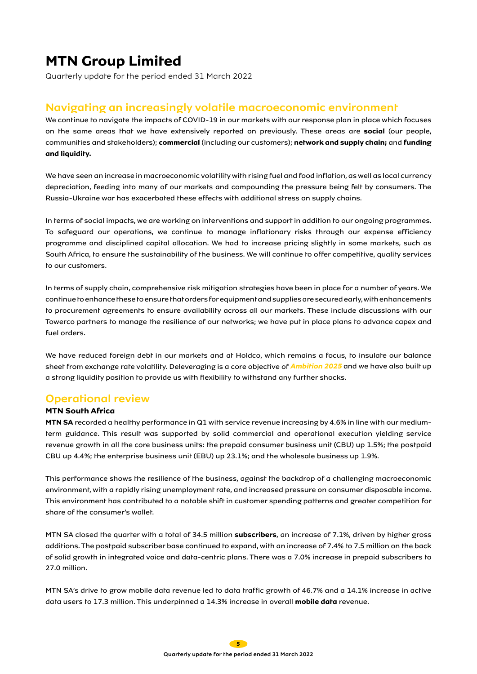Quarterly update for the period ended 31 March 2022

### Navigating an increasingly volatile macroeconomic environment

We continue to navigate the impacts of COVID-19 in our markets with our response plan in place which focuses on the same areas that we have extensively reported on previously. These areas are **social** (our people, communities and stakeholders); **commercial** (including our customers); **network and supply chain;** and **funding and liquidity.** 

We have seen an increase in macroeconomic volatility with rising fuel and food inflation, as well as local currency depreciation, feeding into many of our markets and compounding the pressure being felt by consumers. The Russia-Ukraine war has exacerbated these effects with additional stress on supply chains.

In terms of social impacts, we are working on interventions and support in addition to our ongoing programmes. To safeguard our operations, we continue to manage inflationary risks through our expense efficiency programme and disciplined capital allocation. We had to increase pricing slightly in some markets, such as South Africa, to ensure the sustainability of the business. We will continue to offer competitive, quality services to our customers.

In terms of supply chain, comprehensive risk mitigation strategies have been in place for a number of years. We continue to enhance these to ensure that orders for equipment and supplies are secured early, with enhancements to procurement agreements to ensure availability across all our markets. These include discussions with our Towerco partners to manage the resilience of our networks; we have put in place plans to advance capex and fuel orders.

We have reduced foreign debt in our markets and at Holdco, which remains a focus, to insulate our balance sheet from exchange rate volatility. Deleveraging is a core objective of **Ambition 2025** and we have also built up a strong liquidity position to provide us with flexibility to withstand any further shocks.

### Operational review

### **MTN South Africa**

**MTN SA** recorded a healthy performance in Q1 with service revenue increasing by 4.6% in line with our mediumterm guidance. This result was supported by solid commercial and operational execution yielding service revenue growth in all the core business units: the prepaid consumer business unit (CBU) up 1.5%; the postpaid CBU up 4.4%; the enterprise business unit (EBU) up 23.1%; and the wholesale business up 1.9%.

This performance shows the resilience of the business, against the backdrop of a challenging macroeconomic environment, with a rapidly rising unemployment rate, and increased pressure on consumer disposable income. This environment has contributed to a notable shift in customer spending patterns and greater competition for share of the consumer's wallet.

MTN SA closed the quarter with a total of 34.5 million **subscribers**, an increase of 7.1%, driven by higher gross additions. The postpaid subscriber base continued to expand, with an increase of 7.4% to 7.5 million on the back of solid growth in integrated voice and data-centric plans. There was a 7.0% increase in prepaid subscribers to 27.0 million.

MTN SA's drive to grow mobile data revenue led to data traffic growth of 46.7% and a 14.1% increase in active data users to 17.3 million. This underpinned a 14.3% increase in overall **mobile data** revenue.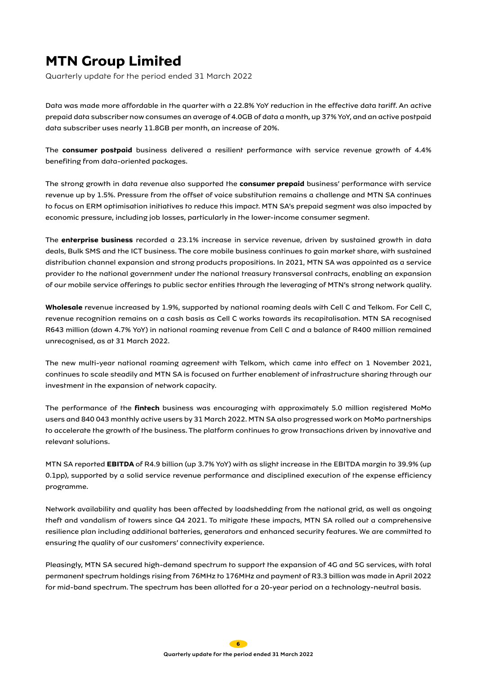Quarterly update for the period ended 31 March 2022

Data was made more affordable in the quarter with a 22.8% YoY reduction in the effective data tariff. An active prepaid data subscriber now consumes an average of 4.0GB of data a month, up 37% YoY, and an active postpaid data subscriber uses nearly 11.8GB per month, an increase of 20%.

The **consumer postpaid** business delivered a resilient performance with service revenue growth of 4.4% benefiting from data-oriented packages.

The strong growth in data revenue also supported the **consumer prepaid** business' performance with service revenue up by 1.5%. Pressure from the offset of voice substitution remains a challenge and MTN SA continues to focus on ERM optimisation initiatives to reduce this impact. MTN SA's prepaid segment was also impacted by economic pressure, including job losses, particularly in the lower-income consumer segment.

The **enterprise business** recorded a 23.1% increase in service revenue, driven by sustained growth in data deals, Bulk SMS and the ICT business. The core mobile business continues to gain market share, with sustained distribution channel expansion and strong products propositions. In 2021, MTN SA was appointed as a service provider to the national government under the national treasury transversal contracts, enabling an expansion of our mobile service offerings to public sector entities through the leveraging of MTN's strong network quality.

**Wholesale** revenue increased by 1.9%, supported by national roaming deals with Cell C and Telkom. For Cell C, revenue recognition remains on a cash basis as Cell C works towards its recapitalisation. MTN SA recognised R643 million (down 4.7% YoY) in national roaming revenue from Cell C and a balance of R400 million remained unrecognised, as at 31 March 2022.

The new multi-year national roaming agreement with Telkom, which came into effect on 1 November 2021, continues to scale steadily and MTN SA is focused on further enablement of infrastructure sharing through our investment in the expansion of network capacity.

The performance of the **fintech** business was encouraging with approximately 5.0 million registered MoMo users and 840 043 monthly active users by 31 March 2022. MTN SA also progressed work on MoMo partnerships to accelerate the growth of the business. The platform continues to grow transactions driven by innovative and relevant solutions.

MTN SA reported **EBITDA** of R4.9 billion (up 3.7% YoY) with as slight increase in the EBITDA margin to 39.9% (up 0.1pp), supported by a solid service revenue performance and disciplined execution of the expense efficiency programme.

Network availability and quality has been affected by loadshedding from the national grid, as well as ongoing theft and vandalism of towers since Q4 2021. To mitigate these impacts, MTN SA rolled out a comprehensive resilience plan including additional batteries, generators and enhanced security features. We are committed to ensuring the quality of our customers' connectivity experience.

Pleasingly, MTN SA secured high-demand spectrum to support the expansion of 4G and 5G services, with total permanent spectrum holdings rising from 76MHz to 176MHz and payment of R3.3 billion was made in April 2022 for mid-band spectrum. The spectrum has been allotted for a 20-year period on a technology-neutral basis.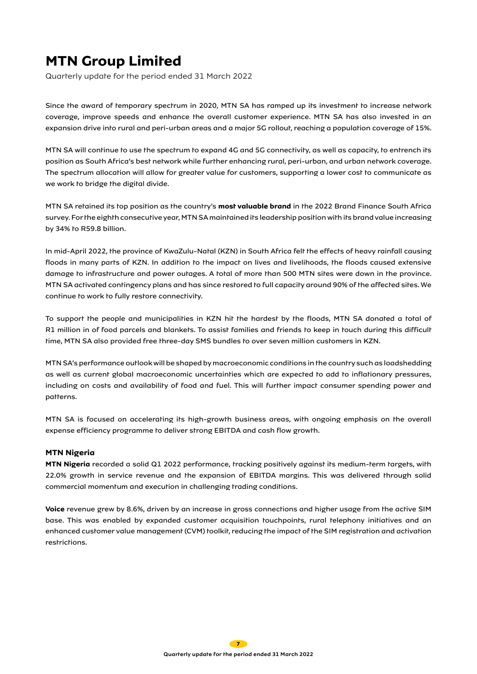Quarterly update for the period ended 31 March 2022

Since the award of temporary spectrum in 2020, MTN SA has ramped up its investment to increase network coverage, improve speeds and enhance the overall customer experience. MTN SA has also invested in an expansion drive into rural and peri-urban areas and a major 5G rollout, reaching a population coverage of 15%.

MTN SA will continue to use the spectrum to expand 4G and 5G connectivity, as well as capacity, to entrench its position as South Africa's best network while further enhancing rural, peri-urban, and urban network coverage. The spectrum allocation will allow for greater value for customers, supporting a lower cost to communicate as we work to bridge the digital divide.

MTN SA retained its top position as the country's **most valuable brand** in the 2022 Brand Finance South Africa survey. For the eighth consecutive year, MTN SA maintained its leadership position with its brand value increasing by 34% to R59.8 billion.

In mid-April 2022, the province of KwaZulu-Natal (KZN) in South Africa felt the effects of heavy rainfall causing floods in many parts of KZN. In addition to the impact on lives and livelihoods, the floods caused extensive damage to infrastructure and power outages. A total of more than 500 MTN sites were down in the province. MTN SA activated contingency plans and has since restored to full capacity around 90% of the affected sites. We continue to work to fully restore connectivity.

To support the people and municipalities in KZN hit the hardest by the floods, MTN SA donated a total of R1 million in of food parcels and blankets. To assist families and friends to keep in touch during this difficult time, MTN SA also provided free three-day SMS bundles to over seven million customers in KZN.

MTN SA's performance outlook will be shaped by macroeconomic conditions in the country such as loadshedding as well as current global macroeconomic uncertainties which are expected to add to inflationary pressures, including on costs and availability of food and fuel. This will further impact consumer spending power and patterns.

MTN SA is focused on accelerating its high-growth business areas, with ongoing emphasis on the overall expense efficiency programme to deliver strong EBITDA and cash flow growth.

### **MTN Nigeria**

**MTN Nigeria** recorded a solid Q1 2022 performance, tracking positively against its medium-term targets, with 22.0% growth in service revenue and the expansion of EBITDA margins. This was delivered through solid commercial momentum and execution in challenging trading conditions.

**Voice** revenue grew by 8.6%, driven by an increase in gross connections and higher usage from the active SIM base. This was enabled by expanded customer acquisition touchpoints, rural telephony initiatives and an enhanced customer value management (CVM) toolkit, reducing the impact of the SIM registration and activation restrictions.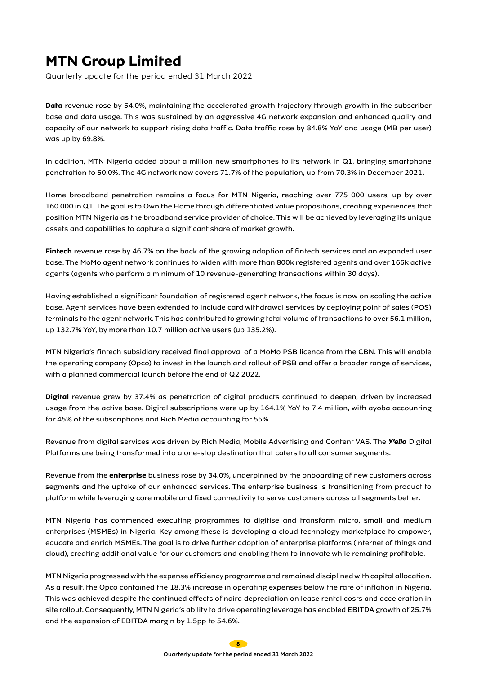Quarterly update for the period ended 31 March 2022

**Data** revenue rose by 54.0%, maintaining the accelerated growth trajectory through growth in the subscriber base and data usage. This was sustained by an aggressive 4G network expansion and enhanced quality and capacity of our network to support rising data traffic. Data traffic rose by 84.8% YoY and usage (MB per user) was up by 69.8%.

In addition, MTN Nigeria added about a million new smartphones to its network in Q1, bringing smartphone penetration to 50.0%. The 4G network now covers 71.7% of the population, up from 70.3% in December 2021.

Home broadband penetration remains a focus for MTN Nigeria, reaching over 775 000 users, up by over 160 000 in Q1. The goal is to Own the Home through differentiated value propositions, creating experiences that position MTN Nigeria as the broadband service provider of choice. This will be achieved by leveraging its unique assets and capabilities to capture a significant share of market growth.

**Fintech** revenue rose by 46.7% on the back of the growing adoption of fintech services and an expanded user base. The MoMo agent network continues to widen with more than 800k registered agents and over 166k active agents (agents who perform a minimum of 10 revenue-generating transactions within 30 days).

Having established a significant foundation of registered agent network, the focus is now on scaling the active base. Agent services have been extended to include card withdrawal services by deploying point of sales (POS) terminals to the agent network. This has contributed to growing total volume of transactions to over 56.1 million, up 132.7% YoY, by more than 10.7 million active users (up 135.2%).

MTN Nigeria's fintech subsidiary received final approval of a MoMo PSB licence from the CBN. This will enable the operating company (Opco) to invest in the launch and rollout of PSB and offer a broader range of services, with a planned commercial launch before the end of Q2 2022.

**Digital** revenue grew by 37.4% as penetration of digital products continued to deepen, driven by increased usage from the active base. Digital subscriptions were up by 164.1% YoY to 7.4 million, with ayoba accounting for 45% of the subscriptions and Rich Media accounting for 55%.

Revenue from digital services was driven by Rich Media, Mobile Advertising and Content VAS. The *Y'ello* Digital Platforms are being transformed into a one-stop destination that caters to all consumer segments.

Revenue from the **enterprise** business rose by 34.0%, underpinned by the onboarding of new customers across segments and the uptake of our enhanced services. The enterprise business is transitioning from product to platform while leveraging core mobile and fixed connectivity to serve customers across all segments better.

MTN Nigeria has commenced executing programmes to digitise and transform micro, small and medium enterprises (MSMEs) in Nigeria. Key among these is developing a cloud technology marketplace to empower, educate and enrich MSMEs. The goal is to drive further adoption of enterprise platforms (internet of things and cloud), creating additional value for our customers and enabling them to innovate while remaining profitable.

MTN Nigeria progressed with the expense efficiency programme and remained disciplined with capital allocation. As a result, the Opco contained the 18.3% increase in operating expenses below the rate of inflation in Nigeria. This was achieved despite the continued effects of naira depreciation on lease rental costs and acceleration in site rollout. Consequently, MTN Nigeria's ability to drive operating leverage has enabled EBITDA growth of 25.7% and the expansion of EBITDA margin by 1.5pp to 54.6%.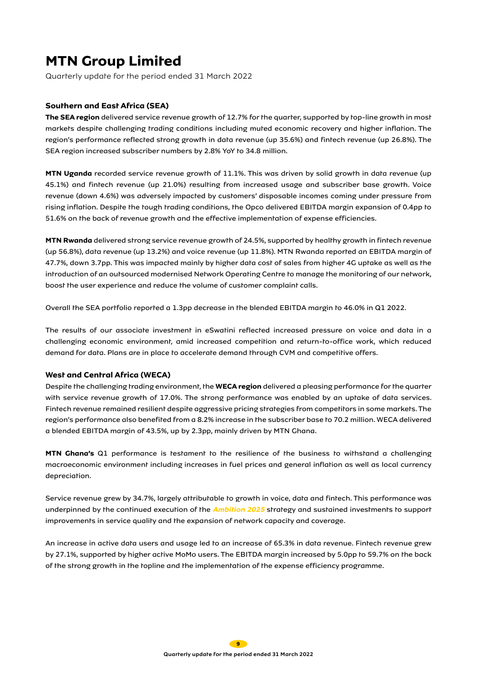Quarterly update for the period ended 31 March 2022

### **Southern and East Africa (SEA)**

**The SEA region** delivered service revenue growth of 12.7% for the quarter, supported by top-line growth in most markets despite challenging trading conditions including muted economic recovery and higher inflation. The region's performance reflected strong growth in data revenue (up 35.6%) and fintech revenue (up 26.8%). The SEA region increased subscriber numbers by 2.8% YoY to 34.8 million.

**MTN Uganda** recorded service revenue growth of 11.1%. This was driven by solid growth in data revenue (up 45.1%) and fintech revenue (up 21.0%) resulting from increased usage and subscriber base growth. Voice revenue (down 4.6%) was adversely impacted by customers' disposable incomes coming under pressure from rising inflation. Despite the tough trading conditions, the Opco delivered EBITDA margin expansion of 0.4pp to 51.6% on the back of revenue growth and the effective implementation of expense efficiencies.

**MTN Rwanda** delivered strong service revenue growth of 24.5%, supported by healthy growth in fintech revenue (up 56.8%), data revenue (up 13.2%) and voice revenue (up 11.8%). MTN Rwanda reported an EBITDA margin of 47.7%, down 3.7pp. This was impacted mainly by higher data cost of sales from higher 4G uptake as well as the introduction of an outsourced modernised Network Operating Centre to manage the monitoring of our network, boost the user experience and reduce the volume of customer complaint calls.

Overall the SEA portfolio reported a 1.3pp decrease in the blended EBITDA margin to 46.0% in Q1 2022.

The results of our associate investment in eSwatini reflected increased pressure on voice and data in a challenging economic environment, amid increased competition and return-to-office work, which reduced demand for data. Plans are in place to accelerate demand through CVM and competitive offers.

### **West and Central Africa (WECA)**

Despite the challenging trading environment, the **WECA region** delivered a pleasing performance for the quarter with service revenue growth of 17.0%. The strong performance was enabled by an uptake of data services. Fintech revenue remained resilient despite aggressive pricing strategies from competitors in some markets. The region's performance also benefited from a 8.2% increase in the subscriber base to 70.2 million. WECA delivered a blended EBITDA margin of 43.5%, up by 2.3pp, mainly driven by MTN Ghana.

**MTN Ghana's** Q1 performance is testament to the resilience of the business to withstand a challenging macroeconomic environment including increases in fuel prices and general inflation as well as local currency depreciation.

Service revenue grew by 34.7%, largely attributable to growth in voice, data and fintech. This performance was underpinned by the continued execution of the **Ambition 2025** strategy and sustained investments to support improvements in service quality and the expansion of network capacity and coverage.

An increase in active data users and usage led to an increase of 65.3% in data revenue. Fintech revenue grew by 27.1%, supported by higher active MoMo users. The EBITDA margin increased by 5.0pp to 59.7% on the back of the strong growth in the topline and the implementation of the expense efficiency programme.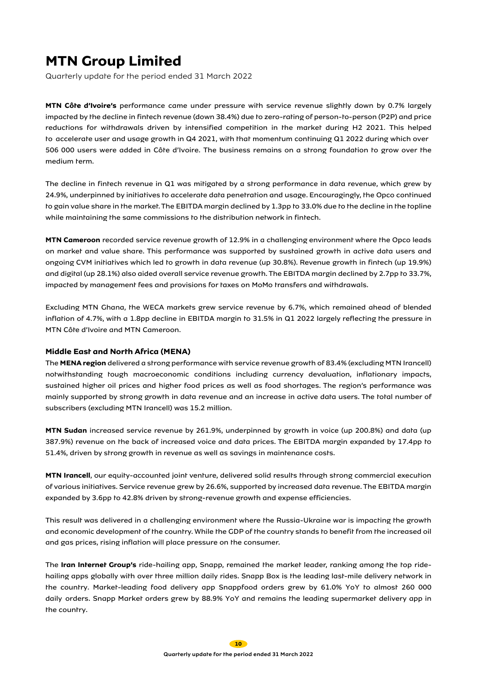Quarterly update for the period ended 31 March 2022

**MTN Côte d'Ivoire's** performance came under pressure with service revenue slightly down by 0.7% largely impacted by the decline in fintech revenue (down 38.4%) due to zero-rating of person-to-person (P2P) and price reductions for withdrawals driven by intensified competition in the market during H2 2021. This helped to accelerate user and usage growth in Q4 2021, with that momentum continuing Q1 2022 during which over 506 000 users were added in Côte d'Ivoire. The business remains on a strong foundation to grow over the medium term.

The decline in fintech revenue in Q1 was mitigated by a strong performance in data revenue, which grew by 24.9%, underpinned by initiatives to accelerate data penetration and usage. Encouragingly, the Opco continued to gain value share in the market. The EBITDA margin declined by 1.3pp to 33.0% due to the decline in the topline while maintaining the same commissions to the distribution network in fintech.

**MTN Cameroon** recorded service revenue growth of 12.9% in a challenging environment where the Opco leads on market and value share. This performance was supported by sustained growth in active data users and ongoing CVM initiatives which led to growth in data revenue (up 30.8%). Revenue growth in fintech (up 19.9%) and digital (up 28.1%) also aided overall service revenue growth. The EBITDA margin declined by 2.7pp to 33.7%, impacted by management fees and provisions for taxes on MoMo transfers and withdrawals.

Excluding MTN Ghana, the WECA markets grew service revenue by 6.7%, which remained ahead of blended inflation of 4.7%, with a 1.8pp decline in EBITDA margin to 31.5% in Q1 2022 largely reflecting the pressure in MTN Côte d'Ivoire and MTN Cameroon.

### **Middle East and North Africa (MENA)**

The **MENA region** delivered a strong performance with service revenue growth of 83.4% (excluding MTN Irancell) notwithstanding tough macroeconomic conditions including currency devaluation, inflationary impacts, sustained higher oil prices and higher food prices as well as food shortages. The region's performance was mainly supported by strong growth in data revenue and an increase in active data users. The total number of subscribers (excluding MTN Irancell) was 15.2 million.

**MTN Sudan** increased service revenue by 261.9%, underpinned by growth in voice (up 200.8%) and data (up 387.9%) revenue on the back of increased voice and data prices. The EBITDA margin expanded by 17.4pp to 51.4%, driven by strong growth in revenue as well as savings in maintenance costs.

**MTN Irancell**, our equity-accounted joint venture, delivered solid results through strong commercial execution of various initiatives. Service revenue grew by 26.6%, supported by increased data revenue. The EBITDA margin expanded by 3.6pp to 42.8% driven by strong-revenue growth and expense efficiencies.

This result was delivered in a challenging environment where the Russia-Ukraine war is impacting the growth and economic development of the country. While the GDP of the country stands to benefit from the increased oil and gas prices, rising inflation will place pressure on the consumer.

The **Iran Internet Group's** ride-hailing app, Snapp, remained the market leader, ranking among the top ridehailing apps globally with over three million daily rides. Snapp Box is the leading last-mile delivery network in the country. Market-leading food delivery app Snappfood orders grew by 61.0% YoY to almost 260 000 daily orders. Snapp Market orders grew by 88.9% YoY and remains the leading supermarket delivery app in the country.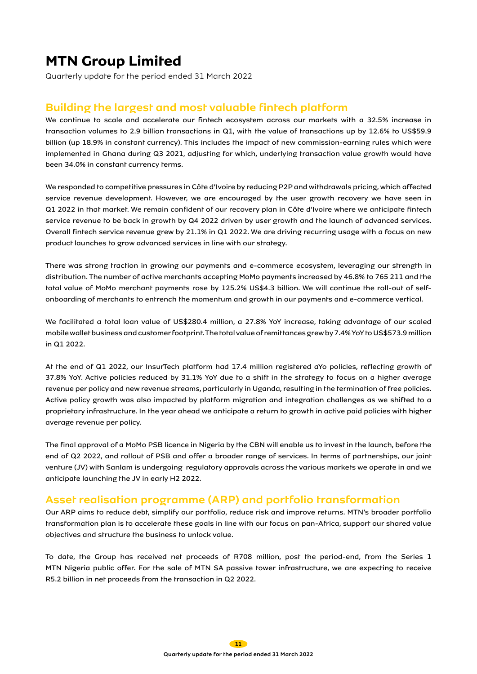Quarterly update for the period ended 31 March 2022

### Building the largest and most valuable fintech platform

We continue to scale and accelerate our fintech ecosystem across our markets with a 32.5% increase in transaction volumes to 2.9 billion transactions in Q1, with the value of transactions up by 12.6% to US\$59.9 billion (up 18.9% in constant currency). This includes the impact of new commission-earning rules which were implemented in Ghana during Q3 2021, adjusting for which, underlying transaction value growth would have been 34.0% in constant currency terms.

We responded to competitive pressures in Côte d'Ivoire by reducing P2P and withdrawals pricing, which affected service revenue development. However, we are encouraged by the user growth recovery we have seen in Q1 2022 in that market. We remain confident of our recovery plan in Côte d'Ivoire where we anticipate fintech service revenue to be back in growth by Q4 2022 driven by user growth and the launch of advanced services. Overall fintech service revenue grew by 21.1% in Q1 2022. We are driving recurring usage with a focus on new product launches to grow advanced services in line with our strategy.

There was strong traction in growing our payments and e-commerce ecosystem, leveraging our strength in distribution. The number of active merchants accepting MoMo payments increased by 46.8% to 765 211 and the total value of MoMo merchant payments rose by 125.2% US\$4.3 billion. We will continue the roll-out of selfonboarding of merchants to entrench the momentum and growth in our payments and e-commerce vertical.

We facilitated a total loan value of US\$280.4 million, a 27.8% YoY increase, taking advantage of our scaled mobile wallet business and customer footprint. The total value of remittances grew by 7.4% YoY to US\$573.9 million in Q1 2022.

At the end of Q1 2022, our InsurTech platform had 17.4 million registered aYo policies, reflecting growth of 37.8% YoY. Active policies reduced by 31.1% YoY due to a shift in the strategy to focus on a higher average revenue per policy and new revenue streams, particularly in Uganda, resulting in the termination of free policies. Active policy growth was also impacted by platform migration and integration challenges as we shifted to a proprietary infrastructure. In the year ahead we anticipate a return to growth in active paid policies with higher average revenue per policy.

The final approval of a MoMo PSB licence in Nigeria by the CBN will enable us to invest in the launch, before the end of Q2 2022, and rollout of PSB and offer a broader range of services. In terms of partnerships, our joint venture (JV) with Sanlam is undergoing regulatory approvals across the various markets we operate in and we anticipate launching the JV in early H2 2022.

### Asset realisation programme (ARP) and portfolio transformation

Our ARP aims to reduce debt, simplify our portfolio, reduce risk and improve returns. MTN's broader portfolio transformation plan is to accelerate these goals in line with our focus on pan-Africa, support our shared value objectives and structure the business to unlock value.

To date, the Group has received net proceeds of R708 million, post the period-end, from the Series 1 MTN Nigeria public offer. For the sale of MTN SA passive tower infrastructure, we are expecting to receive R5.2 billion in net proceeds from the transaction in Q2 2022.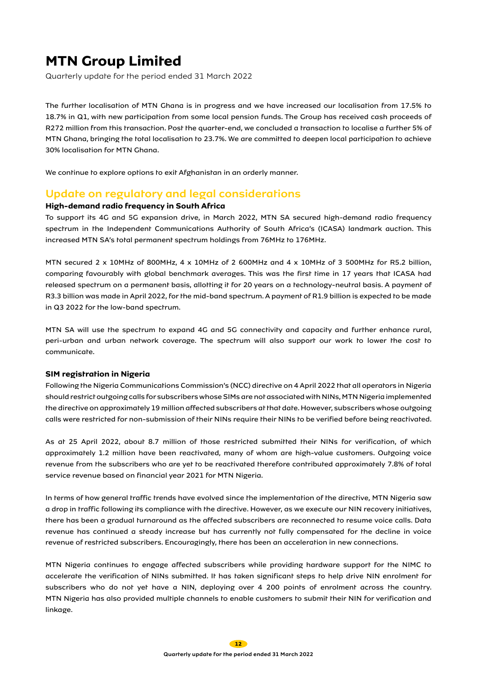Quarterly update for the period ended 31 March 2022

The further localisation of MTN Ghana is in progress and we have increased our localisation from 17.5% to 18.7% in Q1, with new participation from some local pension funds. The Group has received cash proceeds of R272 million from this transaction. Post the quarter-end, we concluded a transaction to localise a further 5% of MTN Ghana, bringing the total localisation to 23.7%. We are committed to deepen local participation to achieve 30% localisation for MTN Ghana.

We continue to explore options to exit Afghanistan in an orderly manner.

### Update on regulatory and legal considerations

### **High-demand radio frequency in South Africa**

To support its 4G and 5G expansion drive, in March 2022, MTN SA secured high-demand radio frequency spectrum in the Independent Communications Authority of South Africa's (ICASA) landmark auction. This increased MTN SA's total permanent spectrum holdings from 76MHz to 176MHz.

MTN secured 2 x 10MHz of 800MHz, 4 x 10MHz of 2 600MHz and 4 x 10MHz of 3 500MHz for R5.2 billion, comparing favourably with global benchmark averages. This was the first time in 17 years that ICASA had released spectrum on a permanent basis, allotting it for 20 years on a technology-neutral basis. A payment of R3.3 billion was made in April 2022, for the mid-band spectrum. A payment of R1.9 billion is expected to be made in Q3 2022 for the low-band spectrum.

MTN SA will use the spectrum to expand 4G and 5G connectivity and capacity and further enhance rural, peri-urban and urban network coverage. The spectrum will also support our work to lower the cost to communicate.

#### **SIM registration in Nigeria**

Following the Nigeria Communications Commission's (NCC) directive on 4 April 2022 that all operators in Nigeria should restrict outgoing calls for subscribers whose SIMs are not associated with NINs, MTN Nigeria implemented the directive on approximately 19 million affected subscribers at that date. However, subscribers whose outgoing calls were restricted for non-submission of their NINs require their NINs to be verified before being reactivated.

As at 25 April 2022, about 8.7 million of those restricted submitted their NINs for verification, of which approximately 1.2 million have been reactivated, many of whom are high-value customers. Outgoing voice revenue from the subscribers who are yet to be reactivated therefore contributed approximately 7.8% of total service revenue based on financial year 2021 for MTN Nigeria.

In terms of how general traffic trends have evolved since the implementation of the directive, MTN Nigeria saw a drop in traffic following its compliance with the directive. However, as we execute our NIN recovery initiatives, there has been a gradual turnaround as the affected subscribers are reconnected to resume voice calls. Data revenue has continued a steady increase but has currently not fully compensated for the decline in voice revenue of restricted subscribers. Encouragingly, there has been an acceleration in new connections.

MTN Nigeria continues to engage affected subscribers while providing hardware support for the NIMC to accelerate the verification of NINs submitted. It has taken significant steps to help drive NIN enrolment for subscribers who do not yet have a NIN, deploying over 4 200 points of enrolment across the country. MTN Nigeria has also provided multiple channels to enable customers to submit their NIN for verification and linkage.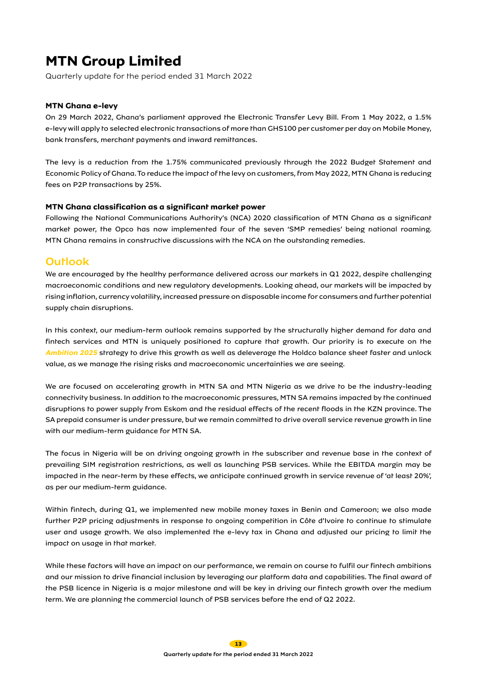Quarterly update for the period ended 31 March 2022

#### **MTN Ghana e-levy**

On 29 March 2022, Ghana's parliament approved the Electronic Transfer Levy Bill. From 1 May 2022, a 1.5% e-levy will apply to selected electronic transactions of more than GHS100 per customer per day on Mobile Money, bank transfers, merchant payments and inward remittances.

The levy is a reduction from the 1.75% communicated previously through the 2022 Budget Statement and Economic Policy of Ghana. To reduce the impact of the levy on customers, from May 2022, MTN Ghana is reducing fees on P2P transactions by 25%.

#### **MTN Ghana classification as a significant market power**

Following the National Communications Authority's (NCA) 2020 classification of MTN Ghana as a significant market power, the Opco has now implemented four of the seven 'SMP remedies' being national roaming. MTN Ghana remains in constructive discussions with the NCA on the outstanding remedies.

### Outlook

We are encouraged by the healthy performance delivered across our markets in Q1 2022, despite challenging macroeconomic conditions and new regulatory developments. Looking ahead, our markets will be impacted by rising inflation, currency volatility, increased pressure on disposable income for consumers and further potential supply chain disruptions.

In this context, our medium-term outlook remains supported by the structurally higher demand for data and fintech services and MTN is uniquely positioned to capture that growth. Our priority is to execute on the **Ambition 2025** strategy to drive this growth as well as deleverage the Holdco balance sheet faster and unlock value, as we manage the rising risks and macroeconomic uncertainties we are seeing.

We are focused on accelerating growth in MTN SA and MTN Nigeria as we drive to be the industry-leading connectivity business. In addition to the macroeconomic pressures, MTN SA remains impacted by the continued disruptions to power supply from Eskom and the residual effects of the recent floods in the KZN province. The SA prepaid consumer is under pressure, but we remain committed to drive overall service revenue growth in line with our medium-term guidance for MTN SA.

The focus in Nigeria will be on driving ongoing growth in the subscriber and revenue base in the context of prevailing SIM registration restrictions, as well as launching PSB services. While the EBITDA margin may be impacted in the near-term by these effects, we anticipate continued growth in service revenue of 'at least 20%', as per our medium-term guidance.

Within fintech, during Q1, we implemented new mobile money taxes in Benin and Cameroon; we also made further P2P pricing adjustments in response to ongoing competition in Côte d'Ivoire to continue to stimulate user and usage growth. We also implemented the e-levy tax in Ghana and adjusted our pricing to limit the impact on usage in that market.

While these factors will have an impact on our performance, we remain on course to fulfil our fintech ambitions and our mission to drive financial inclusion by leveraging our platform data and capabilities. The final award of the PSB licence in Nigeria is a major milestone and will be key in driving our fintech growth over the medium term. We are planning the commercial launch of PSB services before the end of Q2 2022.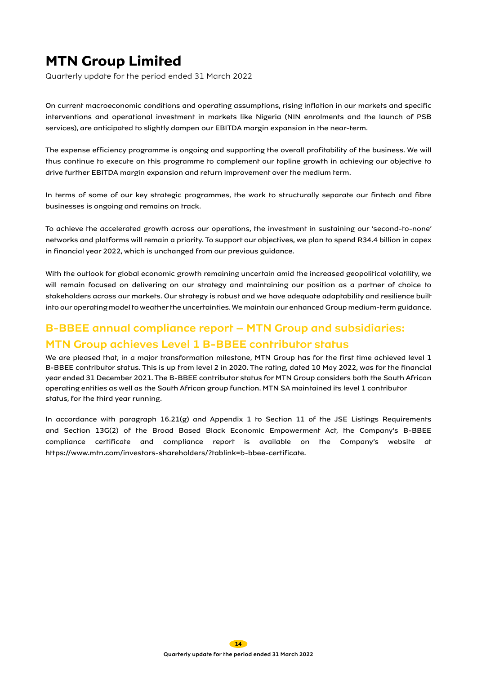Quarterly update for the period ended 31 March 2022

On current macroeconomic conditions and operating assumptions, rising inflation in our markets and specific interventions and operational investment in markets like Nigeria (NIN enrolments and the launch of PSB services), are anticipated to slightly dampen our EBITDA margin expansion in the near-term.

The expense efficiency programme is ongoing and supporting the overall profitability of the business. We will thus continue to execute on this programme to complement our topline growth in achieving our objective to drive further EBITDA margin expansion and return improvement over the medium term.

In terms of some of our key strategic programmes, the work to structurally separate our fintech and fibre businesses is ongoing and remains on track.

To achieve the accelerated growth across our operations, the investment in sustaining our 'second-to-none' networks and platforms will remain a priority. To support our objectives, we plan to spend R34.4 billion in capex in financial year 2022, which is unchanged from our previous guidance.

With the outlook for global economic growth remaining uncertain amid the increased geopolitical volatility, we will remain focused on delivering on our strategy and maintaining our position as a partner of choice to stakeholders across our markets. Our strategy is robust and we have adequate adaptability and resilience built into our operating model to weather the uncertainties. We maintain our enhanced Group medium-term guidance.

### B-BBEE annual compliance report – MTN Group and subsidiaries: MTN Group achieves Level 1 B-BBEE contributor status

We are pleased that, in a major transformation milestone, MTN Group has for the first time achieved level 1 B-BBEE contributor status. This is up from level 2 in 2020. The rating, dated 10 May 2022, was for the financial year ended 31 December 2021. The B-BBEE contributor status for MTN Group considers both the South African operating entities as well as the South African group function. MTN SA maintained its level 1 contributor status, for the third year running.

In accordance with paragraph 16.21(g) and Appendix 1 to Section 11 of the JSE Listings Requirements and Section 13G(2) of the Broad Based Black Economic Empowerment Act, the Company's B-BBEE compliance certificate and compliance report is available on the Company's website at https://www.mtn.com/investors-shareholders/?tablink=b-bbee-certificate.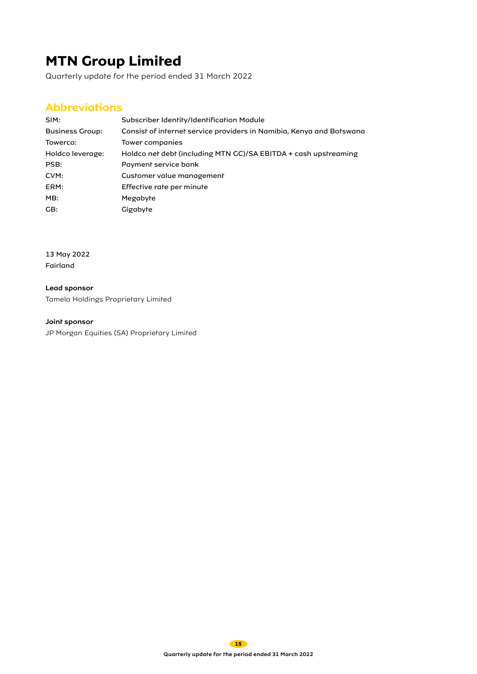Quarterly update for the period ended 31 March 2022

### **Abbreviations**

| SIM:                   | Subscriber Identity/Identification Module                            |
|------------------------|----------------------------------------------------------------------|
| <b>Business Group:</b> | Consist of internet service providers in Namibia, Kenya and Botswana |
| Towerco:               | Tower companies                                                      |
| Holdco leverage:       | Holdco net debt (including MTN GC)/SA EBITDA + cash upstreaming      |
| PSB:                   | Payment service bank                                                 |
| CVM:                   | Customer value management                                            |
| ERM:                   | Effective rate per minute                                            |
| MB:                    | Megabyte                                                             |
| GB:                    | Gigabyte                                                             |

13 May 2022 Fairland

Lead sponsor Tamela Holdings Proprietary Limited

Joint sponsor

JP Morgan Equities (SA) Proprietary Limited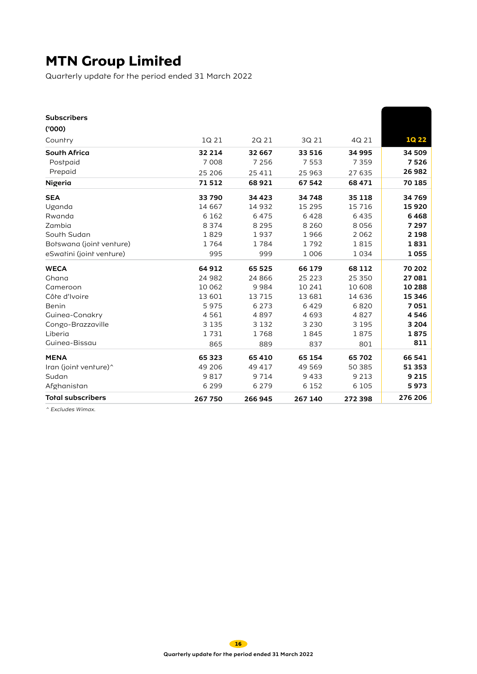Quarterly update for the period ended 31 March 2022

| <b>Subscribers</b>       |         |          |          |         |              |
|--------------------------|---------|----------|----------|---------|--------------|
| (000)                    |         |          |          |         |              |
| Country                  | 1Q 21   | 2Q 21    | 3Q 21    | 4Q 21   | <b>1Q 22</b> |
| <b>South Africa</b>      | 32 2 14 | 32 667   | 33 516   | 34 995  | 34 509       |
| Postpaid                 | 7 0 0 8 | 7 2 5 6  | 7 5 5 3  | 7 3 5 9 | 7526         |
| Prepaid                  | 25 206  | 25 411   | 25 963   | 27 635  | 26 982       |
| Nigeria                  | 71512   | 68921    | 67 542   | 68471   | 70 185       |
| <b>SEA</b>               | 33790   | 34 4 23  | 34 748   | 35 1 18 | 34 769       |
| Uganda                   | 14 667  | 14 9 32  | 15 2 9 5 | 15 7 16 | 15920        |
| Rwanda                   | 6 1 6 2 | 6475     | 6428     | 6435    | 6468         |
| Zambia                   | 8 3 7 4 | 8 2 9 5  | 8 2 6 0  | 8056    | 7 2 9 7      |
| Soulh Sudan              | 1829    | 1937     | 1966     | 2 0 6 2 | 2 1 9 8      |
| Bolswana (joint venture) | 1764    | 1784     | 1792     | 1815    | 1831         |
| eSwalini (joint venture) | 995     | 999      | 1 0 0 6  | 1034    | 1055         |
| <b>WECA</b>              | 64 912  | 65 525   | 66 179   | 68 112  | 70 202       |
| Ghana                    | 24 982  | 24 8 6 6 | 25 2 2 3 | 25 350  | 27081        |
| Cameroon                 | 10 062  | 9984     | 10 24 1  | 10 608  | 10 288       |
| Côre d'Ivoire            | 13 601  | 13 7 15  | 13 681   | 14 636  | 15 346       |
| Benin                    | 5975    | 6 2 7 3  | 6429     | 6820    | 7051         |
| Guinea-Conakry           | 4561    | 4897     | 4693     | 4827    | 4546         |
| Congo-Brazzaville        | 3 1 3 5 | 3 1 3 2  | 3 2 3 0  | 3 1 9 5 | 3 2 0 4      |
| Liberia                  | 1731    | 1768     | 1845     | 1875    | 1875         |
| Guinea-Bissau            | 865     | 889      | 837      | 801     | 811          |
| <b>MENA</b>              | 65 3 23 | 65 410   | 65 154   | 65 702  | 66 541       |
| Iran (joint venture)^    | 49 206  | 49 417   | 49 5 69  | 50 385  | 51 353       |
| Sudan                    | 9817    | 9 7 1 4  | 9433     | 9 2 1 3 | 9 2 1 5      |
| Afghanistan              | 6 2 9 9 | 6 2 7 9  | 6 1 5 2  | 6 1 0 5 | 5973         |
| <b>Total subscribers</b> | 267 750 | 266 945  | 267 140  | 272 398 | 276 206      |

^ Excludes Wimax.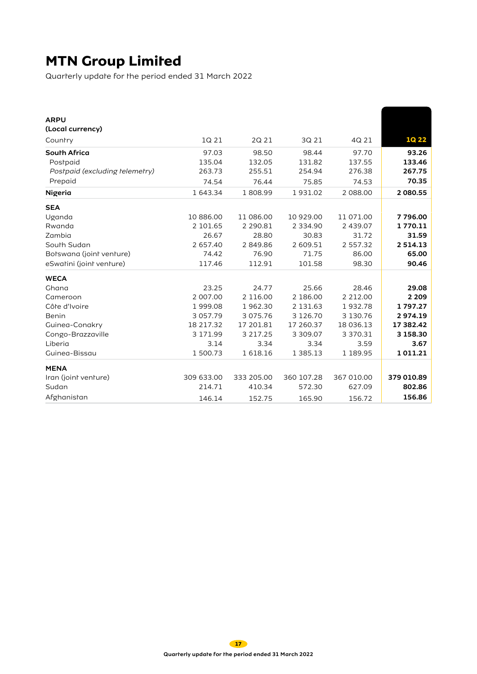Quarterly update for the period ended 31 March 2022

| <b>ARPU</b>                    |               |               |               |             |               |
|--------------------------------|---------------|---------------|---------------|-------------|---------------|
| (Local currency)               |               |               |               |             |               |
| Country                        | 1Q 21         | 2Q 21         | 3Q 21         | 4Q 21       | <b>1Q 22</b>  |
| <b>South Africa</b>            | 97.03         | 98.50         | 98.44         | 97.70       | 93.26         |
| Postpaid                       | 135.04        | 132.05        | 131.82        | 137.55      | 133.46        |
| Postpaid (excluding relemetry) | 263.73        | 255.51        | 254.94        | 276.38      | 267.75        |
| Prepaid                        | 74.54         | 76.44         | 75.85         | 74.53       | 70.35         |
| Nigeria                        | 1 643.34      | 1808.99       | 1931.02       | 2 088.00    | 2 080.55      |
| <b>SEA</b>                     |               |               |               |             |               |
| Uganda                         | 10 886.00     | 11 086.00     | 10 929.00     | 11 071.00   | 7796.00       |
| Rwanda                         | 2 101.65      | 2 2 9 0.8 1   | 2 3 3 4 . 9 0 | 2 439.07    | 1770.11       |
| Zambia                         | 26.67         | 28.80         | 30.83         | 31.72       | 31.59         |
| South Sudan                    | 2 657.40      | 2849.86       | 2 609.51      | 2 557.32    | 2 5 1 4 . 1 3 |
| Bolswana (joint venture)       | 74.42         | 76.90         | 71.75         | 86.00       | 65.00         |
| eSwarini (joint venture)       | 117.46        | 112.91        | 101.58        | 98.30       | 90.46         |
| <b>WECA</b>                    |               |               |               |             |               |
| Ghana                          | 23.25         | 24.77         | 25.66         | 28.46       | 29.08         |
| Cameroon                       | 2 007.00      | 2 116.00      | 2 186.00      | 2 2 1 2 .00 | 2 2 0 9       |
| Côre d'Ivoire                  | 1999.08       | 1962.30       | 2 131.63      | 1932.78     | 1797.27       |
| Benin                          | 3 0 5 7 . 7 9 | 3 0 7 5 . 7 6 | 3 1 2 6 . 7 0 | 3 130.76    | 2974.19       |
| Guinea-Conakry                 | 18 217.32     | 17 201.81     | 17 260.37     | 18 036.13   | 17 382.42     |
| Congo-Brazzaville              | 3 171.99      | 3 2 1 7 . 2 5 | 3 309.07      | 3 370.31    | 3 158.30      |
| Liberia                        | 3.14          | 3.34          | 3.34          | 3.59        | 3.67          |
| Guinea-Bissau                  | 1 500.73      | 1618.16       | 1 3 8 5 . 1 3 | 1 189.95    | 1011.21       |
| <b>MENA</b>                    |               |               |               |             |               |
| Iran (joint venture)           | 309 633.00    | 333 205.00    | 360 107.28    | 367 010.00  | 379 010.89    |
| Sudan                          | 214.71        | 410.34        | 572.30        | 627.09      | 802.86        |
| Afghanistan                    | 146.14        | 152.75        | 165.90        | 156.72      | 156.86        |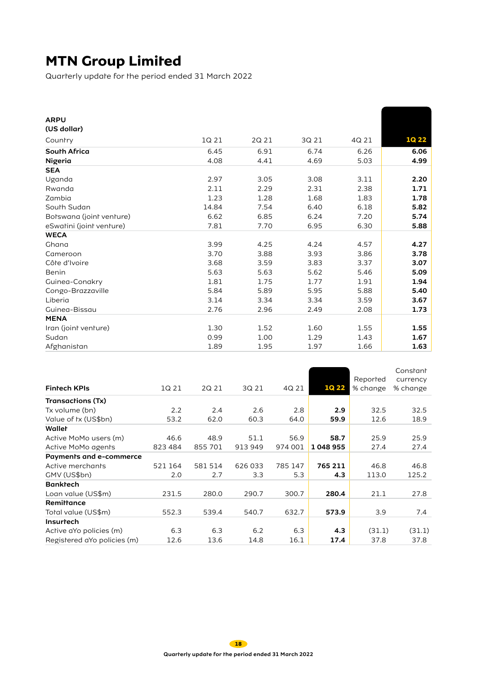Quarterly update for the period ended 31 March 2022

| 1Q 21 | 2Q 21 | 3Q 21 | 4Q 21 | <b>1Q 22</b> |
|-------|-------|-------|-------|--------------|
| 6.45  | 6.91  | 6.74  | 6.26  | 6.06         |
| 4.08  | 4.41  | 4.69  | 5.03  | 4.99         |
|       |       |       |       |              |
| 2.97  | 3.05  | 3.08  | 3.11  | 2.20         |
| 2.11  | 2.29  | 2.31  | 2.38  | 1.71         |
| 1.23  | 1.28  | 1.68  | 1.83  | 1.78         |
| 14.84 | 7.54  | 6.40  | 6.18  | 5.82         |
| 6.62  | 6.85  | 6.24  | 7.20  | 5.74         |
| 7.81  | 7.70  | 6.95  | 6.30  | 5.88         |
|       |       |       |       |              |
| 3.99  | 4.25  | 4.24  | 4.57  | 4.27         |
| 3.70  | 3.88  | 3.93  | 3.86  | 3.78         |
| 3.68  | 3.59  | 3.83  | 3.37  | 3.07         |
| 5.63  | 5.63  | 5.62  | 5.46  | 5.09         |
| 1.81  | 1.75  | 1.77  | 1.91  | 1.94         |
| 5.84  | 5.89  | 5.95  | 5.88  | 5.40         |
| 3.14  | 3.34  | 3.34  | 3.59  | 3.67         |
| 2.76  | 2.96  | 2.49  | 2.08  | 1.73         |
|       |       |       |       |              |
| 1.30  | 1.52  | 1.60  | 1.55  | 1.55         |
| 0.99  | 1.00  | 1.29  | 1.43  | 1.67         |
| 1.89  | 1.95  | 1.97  | 1.66  | 1.63         |
|       |       |       |       |              |

| <b>Fintech KPIs</b>              | 1Q 21   | 2Q 21   | 3Q 21   | 4Q 21   | <b>1Q 22</b> | Reported<br>% change | Constant<br>currency<br>% change |
|----------------------------------|---------|---------|---------|---------|--------------|----------------------|----------------------------------|
| Transactions (Tx)                |         |         |         |         |              |                      |                                  |
| Tx volume (bn)                   | 2.2     | 2.4     | 2.6     | 2.8     | 2.9          | 32.5                 | 32.5                             |
| Value of tx (US\$bn)             | 53.2    | 62.0    | 60.3    | 64.0    | 59.9         | 12.6                 | 18.9                             |
| Walleh                           |         |         |         |         |              |                      |                                  |
| Active MoMo users (m)            | 46.6    | 48.9    | 51.1    | 56.9    | 58.7         | 25.9                 | 25.9                             |
| Acrive MoMo agents               | 823 484 | 855 701 | 913 949 | 974 001 | 1048955      | 27.4                 | 27.4                             |
| Payments and e-commerce          |         |         |         |         |              |                      |                                  |
| Active merchants                 | 521 164 | 581 514 | 626033  | 785 147 | 765 211      | 46.8                 | 46.8                             |
| GMV (US\$bn)                     | 2.0     | 2.7     | 3.3     | 5.3     | 4.3          | 113.0                | 125.2                            |
| <b>Bankrech</b>                  |         |         |         |         |              |                      |                                  |
| Loan value (US\$m)               | 231.5   | 280.0   | 290.7   | 300.7   | 280.4        | 21.1                 | 27.8                             |
| Remittance                       |         |         |         |         |              |                      |                                  |
| Total value (US\$m)              | 552.3   | 539.4   | 540.7   | 632.7   | 573.9        | 3.9                  | 7.4                              |
| Insurtech                        |         |         |         |         |              |                      |                                  |
| Active a <i>Y</i> o policies (m) | 6.3     | 6.3     | 6.2     | 6.3     | 4.3          | (31.1)               | (31.1)                           |
| Registered aYo policies (m)      | 12.6    | 13.6    | 14.8    | 16.1    | 17.4         | 37.8                 | 37.8                             |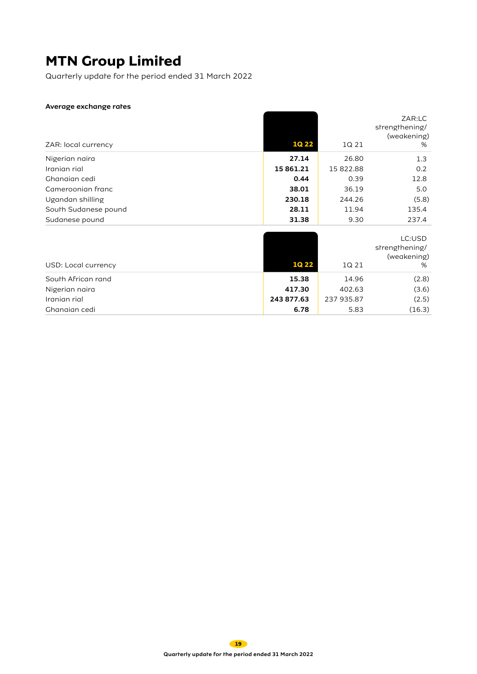Quarterly update for the period ended 31 March 2022

### Average exchange rates

|                      |             |            | ZAR:LC<br>strengthening/ |
|----------------------|-------------|------------|--------------------------|
|                      |             |            | (weakening)              |
| ZAR: local currency  | <b>1Q22</b> | 1Q 21      | %                        |
| Nigerian naira       | 27.14       | 26.80      | 1.3                      |
| Iranian rial         | 15 861.21   | 15 822.88  | 0.2                      |
| Ghanaian cedi        | 0.44        | 0.39       | 12.8                     |
| Cameroonian franc    | 38.01       | 36.19      | 5.0                      |
| Ugandan shilling     | 230.18      | 244.26     | (5.8)                    |
| Soulh Sudanese pound | 28.11       | 11.94      | 135.4                    |
| Sudanese pound       | 31.38       | 9.30       | 237.4                    |
|                      |             |            |                          |
|                      |             |            | LC:USD                   |
|                      |             |            | strengthening/           |
| USD: Local currency  | <b>1Q22</b> | 1Q 21      | (weakening)<br>%         |
| South African rand   | 15.38       | 14.96      | (2.8)                    |
| Nigerian naira       | 417.30      | 402.63     | (3.6)                    |
| Iranian rial         | 243 877.63  | 237 935.87 | (2.5)                    |
| Ghanaian cedi        | 6.78        | 5.83       | (16.3)                   |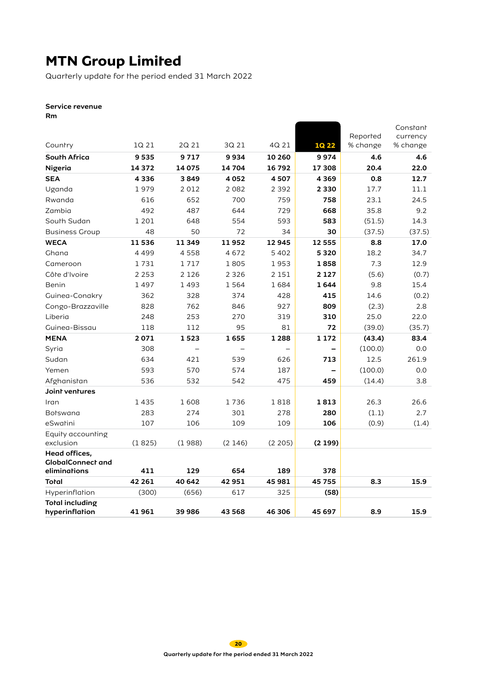Quarterly update for the period ended 31 March 2022

### Service revenue

Rm

|                                           |         |         |         |         |              |                      | Constant             |
|-------------------------------------------|---------|---------|---------|---------|--------------|----------------------|----------------------|
| Country                                   | 1Q 21   | 2Q 21   | 3Q 21   | 4Q 21   | <b>1Q 22</b> | Reported<br>% change | currency<br>% change |
| South Africa                              | 9535    | 9717    | 9934    | 10 260  | 9974         | 4.6                  | 4.6                  |
| Nigeria                                   | 14 372  | 14075   | 14 704  | 16792   | 17 308       | 20.4                 | 22.0                 |
| <b>SEA</b>                                | 4336    | 3849    | 4052    | 4507    | 4369         | 0.8                  | 12.7                 |
| Uganda                                    | 1979    | 2012    | 2082    | 2 3 9 2 | 2 3 3 0      | 17.7                 | 11.1                 |
| Rwanda                                    | 616     | 652     | 700     | 759     | 758          | 23.1                 | 24.5                 |
| Zambia                                    | 492     | 487     | 644     | 729     | 668          | 35.8                 | 9.2                  |
| South Sudan                               | 1 2 0 1 | 648     | 554     | 593     | 583          | (51.5)               | 14.3                 |
| <b>Business Group</b>                     | 48      | 50      | 72      | 34      | 30           | (37.5)               | (37.5)               |
| <b>WECA</b>                               | 11536   | 11349   | 11952   | 12945   | 12 555       | 8.8                  | 17.0                 |
| Ghana                                     | 4499    | 4558    | 4672    | 5 4 0 2 | 5320         | 18.2                 | 34.7                 |
| Cameroon                                  | 1731    | 1717    | 1805    | 1953    | 1858         | 7.3                  | 12.9                 |
| Côte d'Ivoire                             | 2 2 5 3 | 2 1 2 6 | 2 3 2 6 | 2 15 1  | 2 1 2 7      | (5.6)                | (0.7)                |
| Benin                                     | 1497    | 1493    | 1564    | 1684    | 1644         | 9.8                  | 15.4                 |
| Guinea-Conakry                            | 362     | 328     | 374     | 428     | 415          | 14.6                 | (0.2)                |
| Congo-Brazzaville                         | 828     | 762     | 846     | 927     | 809          | (2.3)                | 2.8                  |
| Liberia                                   | 248     | 253     | 270     | 319     | 310          | 25.0                 | 22.0                 |
| Guinea-Bissau                             | 118     | 112     | 95      | 81      | 72           | (39.0)               | (35.7)               |
| <b>MENA</b>                               | 2071    | 1523    | 1655    | 1 2 8 8 | 1 1 7 2      | (43.4)               | 83.4                 |
| Syria                                     | 308     |         |         |         |              | (100.0)              | 0.0                  |
| Sudan                                     | 634     | 421     | 539     | 626     | 713          | 12.5                 | 261.9                |
| Yemen                                     | 593     | 570     | 574     | 187     |              | (100.0)              | 0.0                  |
| Afghanistan                               | 536     | 532     | 542     | 475     | 459          | (14.4)               | 3.8                  |
| Joint ventures                            |         |         |         |         |              |                      |                      |
| Iran                                      | 1435    | 1608    | 1736    | 1818    | 1813         | 26.3                 | 26.6                 |
| <b>Botswana</b>                           | 283     | 274     | 301     | 278     | 280          | (1.1)                | 2.7                  |
| eSwatini                                  | 107     | 106     | 109     | 109     | 106          | (0.9)                | (1.4)                |
| Equity accounting                         |         |         |         |         |              |                      |                      |
| exclusion                                 | (1825)  | (1988)  | (2146)  | (2 205) | (2199)       |                      |                      |
| Head offices,<br><b>GlobalConnect and</b> |         |         |         |         |              |                      |                      |
| eliminations                              | 411     | 129     | 654     | 189     | 378          |                      |                      |
| Total                                     | 42 261  | 40 642  | 42951   | 45 981  | 45 755       | 8.3                  | 15.9                 |
| Hyperinflation                            | (300)   | (656)   | 617     | 325     | (58)         |                      |                      |
| <b>Total including</b><br>hyperinflation  | 41961   | 39 986  | 43 568  | 46 306  | 45 697       | 8.9                  | 15.9                 |